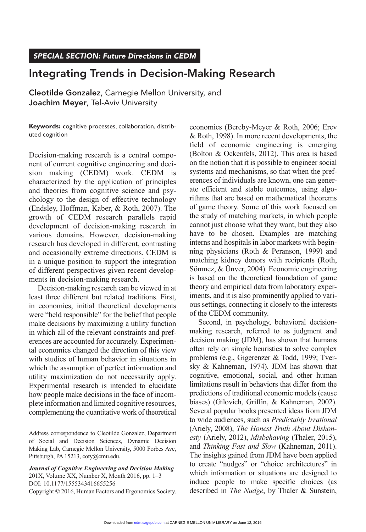## Integrating Trends in Decision-Making Research

Cleotilde Gonzalez, Carnegie Mellon University, and Joachim Meyer, Tel-Aviv University

**Keywords:** cognitive processes, collaboration, distributed cognition

Decision-making research is a central component of current cognitive engineering and decision making (CEDM) work. CEDM is characterized by the application of principles and theories from cognitive science and psychology to the design of effective technology (Endsley, Hoffman, Kaber, & Roth, 2007). The growth of CEDM research parallels rapid development of decision-making research in various domains. However, decision-making research has developed in different, contrasting and occasionally extreme directions. CEDM is in a unique position to support the integration of different perspectives given recent developments in decision-making research.

Decision-making research can be viewed in at least three different but related traditions. First, in economics, initial theoretical developments were "held responsible" for the belief that people make decisions by maximizing a utility function in which all of the relevant constraints and preferences are accounted for accurately. Experimental economics changed the direction of this view with studies of human behavior in situations in which the assumption of perfect information and utility maximization do not necessarily apply. Experimental research is intended to elucidate how people make decisions in the face of incomplete information and limited cognitive resources, complementing the quantitative work of theoretical

*Journal of Cognitive Engineering and Decision Making* 201X, Volume XX, Number X, Month 2016, pp. 1–3 DOI: 10.1177/1555343416655256 Copyright © 2016, Human Factors and Ergonomics Society. economics (Bereby-Meyer & Roth, 2006; Erev & Roth, 1998). In more recent developments, the field of economic engineering is emerging (Bolton & Ockenfels, 2012). This area is based on the notion that it is possible to engineer social systems and mechanisms, so that when the preferences of individuals are known, one can generate efficient and stable outcomes, using algorithms that are based on mathematical theorems of game theory. Some of this work focused on the study of matching markets, in which people cannot just choose what they want, but they also have to be chosen. Examples are matching interns and hospitals in labor markets with beginning physicians (Roth & Peranson, 1999) and matching kidney donors with recipients (Roth, Sönmez, & Ünver, 2004). Economic engineering is based on the theoretical foundation of game theory and empirical data from laboratory experiments, and it is also prominently applied to various settings, connecting it closely to the interests of the CEDM community.

Second, in psychology, behavioral decisionmaking research, referred to as judgment and decision making (JDM), has shown that humans often rely on simple heuristics to solve complex problems (e.g., Gigerenzer & Todd, 1999; Tversky & Kahneman, 1974). JDM has shown that cognitive, emotional, social, and other human limitations result in behaviors that differ from the predictions of traditional economic models (cause biases) (Gilovich, Griffin, & Kahneman, 2002). Several popular books presented ideas from JDM to wide audiences, such as *Predictably Irrational* (Ariely, 2008), *The Honest Truth About Dishonesty* (Ariely, 2012), *Misbehaving* (Thaler, 2015), and *Thinking Fast and Slow* (Kahneman, 2011). The insights gained from JDM have been applied to create "nudges" or "choice architectures" in which information or situations are designed to induce people to make specific choices (as described in *The Nudge*, by Thaler & Sunstein,

Address correspondence to Cleotilde Gonzalez, Department of Social and Decision Sciences, Dynamic Decision Making Lab, Carnegie Mellon University, 5000 Forbes Ave, Pittsburgh, PA 15213, coty@cmu.edu.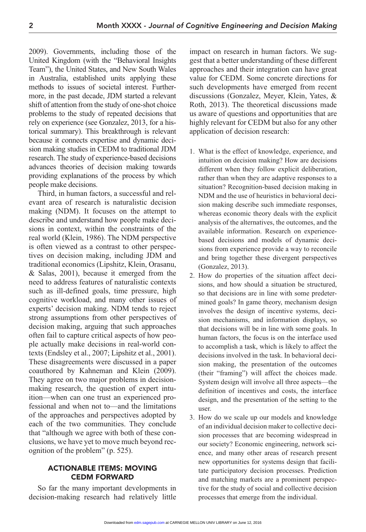2009). Governments, including those of the United Kingdom (with the "Behavioral Insights Team"), the United States, and New South Wales in Australia, established units applying these methods to issues of societal interest. Furthermore, in the past decade, JDM started a relevant shift of attention from the study of one-shot choice problems to the study of repeated decisions that rely on experience (see Gonzalez, 2013, for a historical summary). This breakthrough is relevant because it connects expertise and dynamic decision making studies in CEDM to traditional JDM research. The study of experience-based decisions advances theories of decision making towards providing explanations of the process by which people make decisions.

Third, in human factors, a successful and relevant area of research is naturalistic decision making (NDM). It focuses on the attempt to describe and understand how people make decisions in context, within the constraints of the real world (Klein, 1986). The NDM perspective is often viewed as a contrast to other perspectives on decision making, including JDM and traditional economics (Lipshitz, Klein, Orasanu, & Salas, 2001), because it emerged from the need to address features of naturalistic contexts such as ill-defined goals, time pressure, high cognitive workload, and many other issues of experts' decision making. NDM tends to reject strong assumptions from other perspectives of decision making, arguing that such approaches often fail to capture critical aspects of how people actually make decisions in real-world contexts (Endsley et al., 2007; Lipshitz et al., 2001). These disagreements were discussed in a paper coauthored by Kahneman and Klein (2009). They agree on two major problems in decisionmaking research, the question of expert intuition—when can one trust an experienced professional and when not to—and the limitations of the approaches and perspectives adopted by each of the two communities. They conclude that "although we agree with both of these conclusions, we have yet to move much beyond recognition of the problem" (p. 525).

## Actionable Items: Moving Cedm Forward

So far the many important developments in decision-making research had relatively little

impact on research in human factors. We suggest that a better understanding of these different approaches and their integration can have great value for CEDM. Some concrete directions for such developments have emerged from recent discussions (Gonzalez, Meyer, Klein, Yates, & Roth, 2013). The theoretical discussions made us aware of questions and opportunities that are highly relevant for CEDM but also for any other application of decision research:

- 1. What is the effect of knowledge, experience, and intuition on decision making? How are decisions different when they follow explicit deliberation, rather than when they are adaptive responses to a situation? Recognition-based decision making in NDM and the use of heuristics in behavioral decision making describe such immediate responses, whereas economic theory deals with the explicit analysis of the alternatives, the outcomes, and the available information. Research on experiencebased decisions and models of dynamic decisions from experience provide a way to reconcile and bring together these divergent perspectives (Gonzalez, 2013).
- 2. How do properties of the situation affect decisions, and how should a situation be structured, so that decisions are in line with some predetermined goals? In game theory, mechanism design involves the design of incentive systems, decision mechanisms, and information displays, so that decisions will be in line with some goals. In human factors, the focus is on the interface used to accomplish a task, which is likely to affect the decisions involved in the task. In behavioral decision making, the presentation of the outcomes (their "framing") will affect the choices made. System design will involve all three aspects—the definition of incentives and costs, the interface design, and the presentation of the setting to the user.
- 3. How do we scale up our models and knowledge of an individual decision maker to collective decision processes that are becoming widespread in our society? Economic engineering, network science, and many other areas of research present new opportunities for systems design that facilitate participatory decision processes. Prediction and matching markets are a prominent perspective for the study of social and collective decision processes that emerge from the individual.